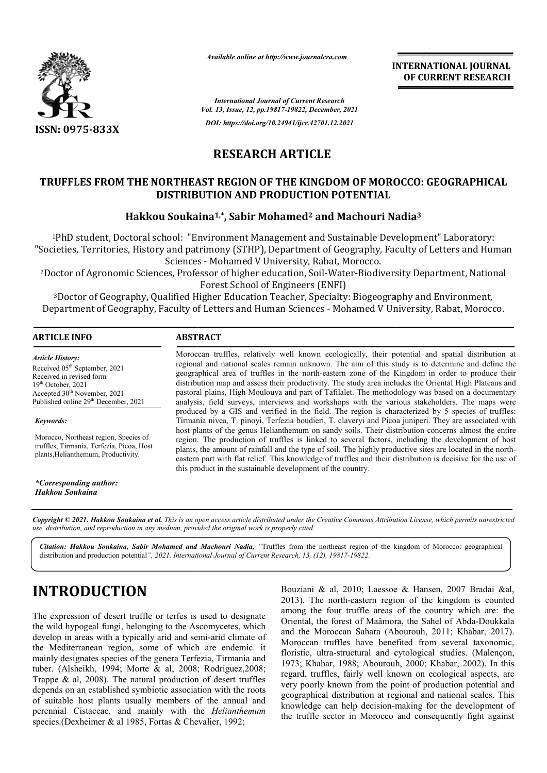

*Available online at http://www.journalcra.com*

**INTERNATIONAL JOURNAL OF CURRENT RESEARCH**

*International Journal of Current Research Vol. 13, Issue, 12, pp.19817-19822, December, 2021 DOI: https://doi.org/10.24941/ijcr.42701.12.2021*

**RESEARCH ARTICLE** 

# TRUFFLES FROM THE NORTHEAST REGION OF THE KINGDOM OF MOROCCO: GEOGRAPHICAL<br>DISTRIBUTION AND PRODUCTION POTENTIAL<br>Hakkou Soukaina<sup>1,\*</sup>, Sabir Mohamed<sup>2</sup> and Machouri Nadia<sup>3</sup> **DISTRIBUTION AND PRODUCTION POTENTIAL**

### **Hakkou Soukaina Soukaina1,\*, Sabir Mohamed2 and Machouri Nadia**

1PhD student, Doctoral school: "Environment Management and Sustainable Development" Laboratory: "Societies, Territories, History and patrimony (STHP), Department of Geography, Faculty of Letters and Human Sciences - Mohamed V University, Rabat, Morocco.

<sup>2</sup>Doctor of Agronomic Sciences, Professor of higher education, Soil-Water-Biodiversity Department, National Forest School of Engineers (ENFI)

3Doctor of Geography, Qualified Higher Education Teacher, Specialty: Biogeography and Environment, <sup>3</sup> Doctor of Geography, Qualified Higher Education Teacher, Specialty: Biogeography and Environment,<br>Department of Geography, Faculty of Letters and Human Sciences - Mohamed V University, Rabat, Morocco.

| <b>ARTICLE INFO</b>     | <b>ABSTRACT</b>                                                                                                                                                                                         |
|-------------------------|---------------------------------------------------------------------------------------------------------------------------------------------------------------------------------------------------------|
| <b>Article History:</b> | Moroccan truffles, relatively well known ecologically, their potential and spatial distribution at<br>regional and national scales remain unknown. The aim of this study is to determine and define the |

Received 05<sup>th</sup> September, 2021 Received in revised form Received in revised form Received in revised form  $19<sup>th</sup> October, 2021$ Accepted  $30<sup>th</sup>$  November, 2021 Published online 29<sup>th</sup> December, 2021

*Keywords:*

Morocco, Northeast region, Species of truffles, Tirmania, Terfezia, Picoa, Host plants,Helianthemum, Productivity.

*\*Corresponding author: Hakkou Soukaina*

regional and national scales remain unknown. The aim of this study is to determine and define the Moroccan truffles, relatively well known ecologically, their potential and spatial distribution at regional and national scales remain unknown. The aim of this study is to determine and define the geographical area of truf distribution map and assess their productivity. The study area includes the Oriental High Plateaus and pastoral plains, High Moulouya and part of Tafilalet. The methodology was based on a documentary analysis, field surveys, interviews and workshops with the various stakeholders. The maps were produced by a GIS and verified in the field. The region is characterized by 5 species of truffles: Tirmania nivea, T. pinoyi, Terfezia boudieri, T. claveryi and Picoa juniperi. They are associated host plants of the genus Helianthemum on sandy soils. Their distribution concerns almost the entire region. The production of truffles is linked to several factors, including the development of host host plants of the genus Helianthemum on sandy soils. Their distribution concerns almost the entire<br>region. The production of truffles is linked to several factors, including the development of host<br>plants, the amount of r eastern part with flat relief. This knowledge of truffles and their distribution is decisive for the use of this product in the sustainable development of the country. distribution map and assess their productivity. The study area includes the Oriental High Plateaus and pastoral plains, High Moulouya and part of Tafilalet. The methodology was based on a documentary analysis, field survey

Copyright © 2021. Hakkou Soukaina et al. This is an open access article distributed under the Creative Commons Attribution License, which permits unrestricted *use, distribution, and reproduction in any medium, provided the original work is properly cited.*

Citation: Hakkou Soukaina, Sabir Mohamed and Machouri Nadia, "Truffles from the northeast region of the kingdom of Morocco: geographical distribution and production potential*", 2021. International Journal of Current Research, 13, (12), 19817-19822.*

# **INTRODUCTION**

The expression of desert truffle or terfes is used to designate the wild hypogeal fungi, belonging to the Ascomycetes, which develop in areas with a typically arid and semi-arid climate of the Mediterranean region, some of which are endemic. it mainly designates species of the genera Terfezia, Tirmania and tuber. (Alsheikh, 1994; Morte & al, 2008; Rodriguez,2008; Trappe & al, 2008). The natural production of desert truffles depends on an established symbiotic association with the roots of suitable host plants usually members of the annual and perennial Cistaceae, and mainly with the *Helianthemum* species.(Dexheimer & al 1985, Fortas & Chevalier, 1992; gnates specie<br>heikh, 1994;<br>ll, 2008). Th<br>an establishe<br>host plants

Bouziani & al, 2010; Laessoe & Hansen, 2007 Bradai &al, Bouziani & al, 2010; Laessoe & Hansen, 2007 Bradai &al, 2013). The north-eastern region of the kingdom is counted among the four truffle areas of the country which are: the among the four truffle areas of the country which are: the Oriental, the forest of Maâmora, the Sahel of Abda-Doukkala and the Moroccan Sahara (Abourouh, 2011; Khabar, 2017). Moroccan truffles have benefited from several taxonomic, floristic, ultra-structural and cytological studies. (Malençon, 1973; Khabar, 1988; Abourouh, 2000; Khabar, 2002). In this regard, truffles, fairly well known on ecological aspects, are very poorly known from the point of production potential and geographical distribution at regional and national scales. This knowledge can help decision-making for the development of the truffle sector in Morocco and consequently fight against from structural 1973; Khabar, In this on known production ion making truffle and consequently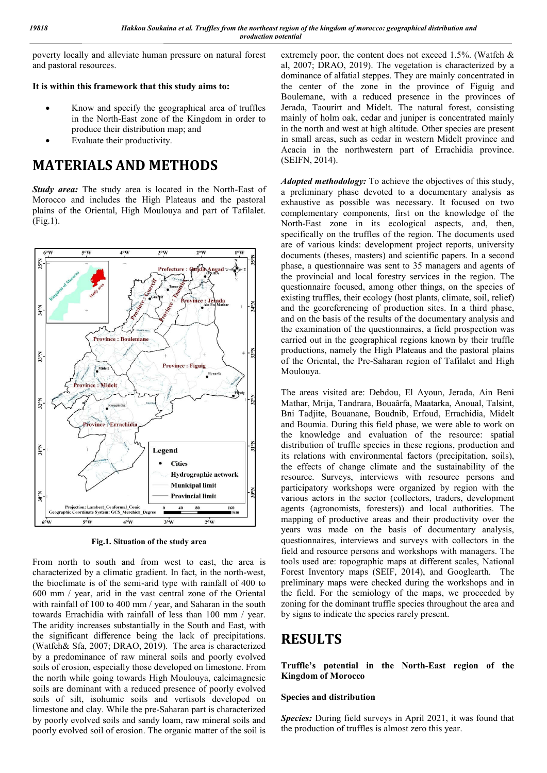poverty locally and alleviate human pressure on natural forest and pastoral resources.

#### **It is within this framework that this study aims to:**

- Know and specify the geographical area of truffles in the North-East zone of the Kingdom in order to produce their distribution map; and
- Evaluate their productivity.

# **MATERIALS AND METHODS**

*Study area:* The study area is located in the North-East of Morocco and includes the High Plateaus and the pastoral plains of the Oriental, High Moulouya and part of Tafilalet. (Fig.1).



**Fig.1. Situation of the study area**

From north to south and from west to east, the area is characterized by a climatic gradient. In fact, in the north-west, the bioclimate is of the semi-arid type with rainfall of 400 to 600 mm / year, arid in the vast central zone of the Oriental with rainfall of 100 to 400 mm / year, and Saharan in the south towards Errachidia with rainfall of less than 100 mm / year. The aridity increases substantially in the South and East, with the significant difference being the lack of precipitations. (Watfeh& Sfa, 2007; DRAO, 2019). The area is characterized by a predominance of raw mineral soils and poorly evolved soils of erosion, especially those developed on limestone. From the north while going towards High Moulouya, calcimagnesic soils are dominant with a reduced presence of poorly evolved soils of silt, isohumic soils and vertisols developed on limestone and clay. While the pre-Saharan part is characterized by poorly evolved soils and sandy loam, raw mineral soils and poorly evolved soil of erosion. The organic matter of the soil is

extremely poor, the content does not exceed 1.5%. (Watfeh & al, 2007; DRAO, 2019). The vegetation is characterized by a dominance of alfatial steppes. They are mainly concentrated in the center of the zone in the province of Figuig and Boulemane, with a reduced presence in the provinces of Jerada, Taourirt and Midelt. The natural forest, consisting mainly of holm oak, cedar and juniper is concentrated mainly in the north and west at high altitude. Other species are present in small areas, such as cedar in western Midelt province and Acacia in the northwestern part of Errachidia province. (SEIFN, 2014).

*Adopted methodology:* To achieve the objectives of this study, a preliminary phase devoted to a documentary analysis as exhaustive as possible was necessary. It focused on two complementary components, first on the knowledge of the North-East zone in its ecological aspects, and, then, specifically on the truffles of the region. The documents used are of various kinds: development project reports, university documents (theses, masters) and scientific papers. In a second phase, a questionnaire was sent to 35 managers and agents of the provincial and local forestry services in the region. The questionnaire focused, among other things, on the species of existing truffles, their ecology (host plants, climate, soil, relief) and the georeferencing of production sites. In a third phase, and on the basis of the results of the documentary analysis and the examination of the questionnaires, a field prospection was carried out in the geographical regions known by their truffle productions, namely the High Plateaus and the pastoral plains of the Oriental, the Pre-Saharan region of Tafilalet and High Moulouya.

The areas visited are: Debdou, El Ayoun, Jerada, Ain Beni Mathar, Mrija, Tandrara, Bouaârfa, Maatarka, Anoual, Talsint, Bni Tadjite, Bouanane, Boudnib, Erfoud, Errachidia, Midelt and Boumia. During this field phase, we were able to work on the knowledge and evaluation of the resource: spatial distribution of truffle species in these regions, production and its relations with environmental factors (precipitation, soils), the effects of change climate and the sustainability of the resource. Surveys, interviews with resource persons and participatory workshops were organized by region with the various actors in the sector (collectors, traders, development agents (agronomists, foresters)) and local authorities. The mapping of productive areas and their productivity over the years was made on the basis of documentary analysis, questionnaires, interviews and surveys with collectors in the field and resource persons and workshops with managers. The tools used are: topographic maps at different scales, National Forest Inventory maps (SEIF, 2014), and Googlearth. The preliminary maps were checked during the workshops and in the field. For the semiology of the maps, we proceeded by zoning for the dominant truffle species throughout the area and by signs to indicate the species rarely present.

## **RESULTS**

**Truffle's potential in the North-East region of the Kingdom of Morocco**

#### **Species and distribution**

*Species:* During field surveys in April 2021, it was found that the production of truffles is almost zero this year.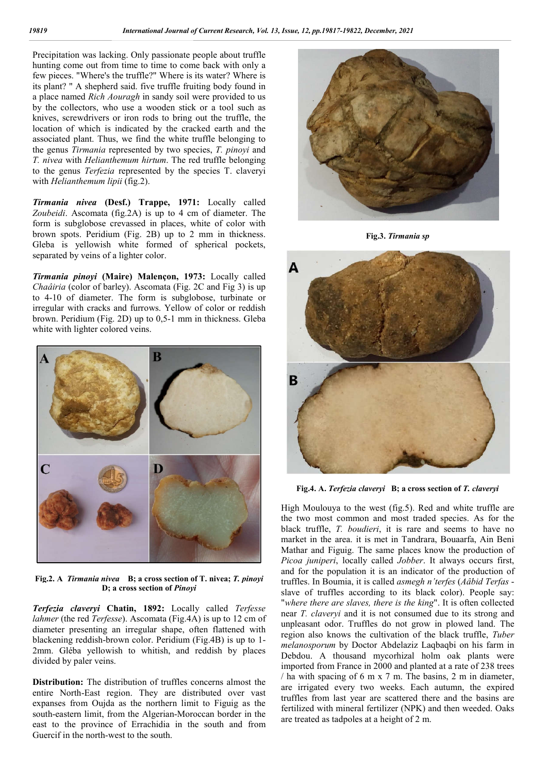Precipitation was lacking. Only passionate people about truffle hunting come out from time to time to come back with only a few pieces. "Where's the truffle?" Where is its water? Where is its plant? " A shepherd said. five truffle fruiting body found in a place named *Rich Aouragh* in sandy soil were provided to us by the collectors, who use a wooden stick or a tool such as knives, screwdrivers or iron rods to bring out the truffle, the location of which is indicated by the cracked earth and the associated plant. Thus, we find the white truffle belonging to the genus *Tirmania* represented by two species, *T. pinoyi* and *T. nivea* with *Helianthemum hirtum*. The red truffle belonging to the genus *Terfezia* represented by the species T. claveryi with *Helianthemum lipii* (fig.2).

*Tirmania nivea* **(Desf.) Trappe, 1971:** Locally called *Zoubeidi*. Ascomata (fig.2A) is up to 4 cm of diameter. The form is subglobose crevassed in places, white of color with brown spots. Peridium (Fig. 2B) up to 2 mm in thickness. Gleba is yellowish white formed of spherical pockets, separated by veins of a lighter color.

*Tirmania pinoyi* **(Maire) Malençon, 1973:** Locally called *Chaâiria* (color of barley). Ascomata (Fig. 2C and Fig 3) is up to 4-10 of diameter. The form is subglobose, turbinate or irregular with cracks and furrows. Yellow of color or reddish brown. Peridium (Fig. 2D) up to 0,5-1 mm in thickness. Gleba white with lighter colored veins.



**Fig.2. A** *Tirmania nivea* **B; a cross section of T. nivea;** *T. pinoyi* **D; a cross section of** *Pinoyi*

*Terfezia claveryi* **Chatin, 1892:** Locally called *Terfesse lahmer* (the red *Terfesse*). Ascomata (Fig.4A) is up to 12 cm of diameter presenting an irregular shape, often flattened with blackening reddish-brown color. Peridium (Fig.4B) is up to 1- 2mm. Gléba yellowish to whitish, and reddish by places divided by paler veins.

**Distribution:** The distribution of truffles concerns almost the entire North-East region. They are distributed over vast expanses from Oujda as the northern limit to Figuig as the south-eastern limit, from the Algerian-Moroccan border in the east to the province of Errachidia in the south and from Guercif in the north-west to the south.



**Fig.3.** *Tirmania sp*



**Fig.4. A.** *Terfezia claveryi* **B; a cross section of** *T. claveryi*

High Moulouya to the west (fig.5). Red and white truffle are the two most common and most traded species. As for the black truffle, *T. boudieri*, it is rare and seems to have no market in the area. it is met in Tandrara, Bouaarfa, Ain Beni Mathar and Figuig. The same places know the production of *Picoa juniperi*, locally called *Jobber*. It always occurs first, and for the population it is an indicator of the production of truffles. In Boumia, it is called *asmegh n'terfes* (*Aâbid Terfas* slave of truffles according to its black color). People say: "*where there are slaves, there is the king*". It is often collected near *T. claveryi* and it is not consumed due to its strong and unpleasant odor. Truffles do not grow in plowed land. The region also knows the cultivation of the black truffle, *Tuber melanosporum* by Doctor Abdelaziz Laqbaqbi on his farm in Debdou. A thousand mycorhizal holm oak plants were imported from France in 2000 and planted at a rate of 238 trees / ha with spacing of 6 m x 7 m. The basins, 2 m in diameter, are irrigated every two weeks. Each autumn, the expired truffles from last year are scattered there and the basins are fertilized with mineral fertilizer (NPK) and then weeded. Oaks are treated as tadpoles at a height of 2 m.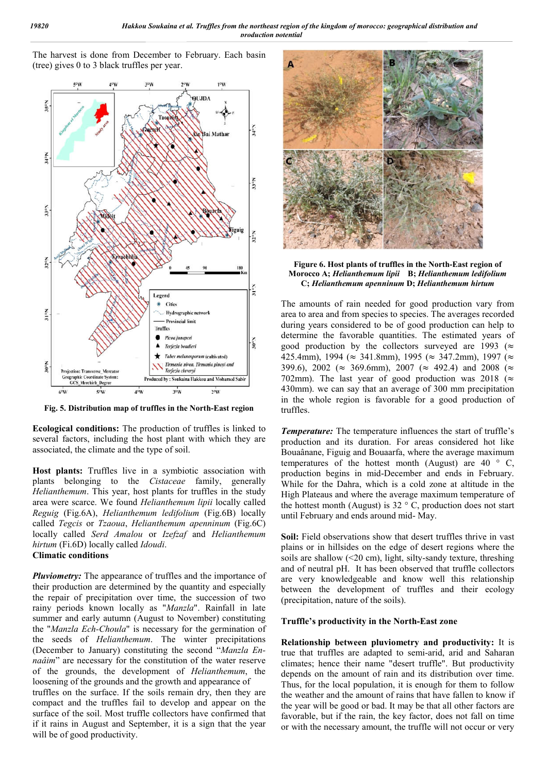The harvest is done from December to February. Each basin (tree) gives 0 to 3 black truffles per year.



**Fig. 5. Distribution map of truffles in the North-East region**

**Ecological conditions:** The production of truffles is linked to several factors, including the host plant with which they are associated, the climate and the type of soil.

**Host plants:** Truffles live in a symbiotic association with plants belonging to the *Cistaceae* family, generally *Helianthemum*. This year, host plants for truffles in the study area were scarce. We found *Helianthemum lipii* locally called *Reguig* (Fig.6A), *Helianthemum ledifolium* (Fig.6B) locally called *Tegcis* or *Tzaoua*, *Helianthemum apenninum* (Fig.6C) locally called *Serd Amalou* or *Izefzaf* and *Helianthemum hirtum* (Fi.6D) locally called *Idoudi*.

#### **Climatic conditions**

*Pluviometry:* The appearance of truffles and the importance of their production are determined by the quantity and especially the repair of precipitation over time, the succession of two rainy periods known locally as "*Manzla*". Rainfall in late summer and early autumn (August to November) constituting the "*Manzla Ech-Choula*" is necessary for the germination of the seeds of *Helianthemum*. The winter precipitations (December to January) constituting the second "*Manzla Ennaâim*" are necessary for the constitution of the water reserve of the grounds, the development of *Helianthemum*, the loosening of the grounds and the growth and appearance of

truffles on the surface. If the soils remain dry, then they are compact and the truffles fail to develop and appear on the surface of the soil. Most truffle collectors have confirmed that if it rains in August and September, it is a sign that the year will be of good productivity.



**Figure 6. Host plants of truffles in the North-East region of Morocco A;** *Helianthemum lipii* **B;** *Helianthemum ledifolium* **C;** *Helianthemum apenninum* **D;** *Helianthemum hirtum*

The amounts of rain needed for good production vary from area to area and from species to species. The averages recorded during years considered to be of good production can help to determine the favorable quantities. The estimated years of good production by the collectors surveyed are 1993 ( $\approx$ 425.4mm), 1994 ( $\approx$  341.8mm), 1995 ( $\approx$  347.2mm), 1997 ( $\approx$ 399.6), 2002 ( $\approx$  369.6mm), 2007 ( $\approx$  492.4) and 2008 ( $\approx$ 702mm). The last year of good production was 2018 ( $\approx$ 430mm). we can say that an average of 300 mm precipitation in the whole region is favorable for a good production of truffles.

*Temperature:* The temperature influences the start of truffle's production and its duration. For areas considered hot like Bouaânane, Figuig and Bouaarfa, where the average maximum temperatures of the hottest month (August) are  $40^\circ$  C, production begins in mid-December and ends in February. While for the Dahra, which is a cold zone at altitude in the High Plateaus and where the average maximum temperature of the hottest month (August) is  $32 °C$ , production does not start until February and ends around mid- May.

**Soil:** Field observations show that desert truffles thrive in vast plains or in hillsides on the edge of desert regions where the soils are shallow  $(\leq 20 \text{ cm})$ , light, silty-sandy texture, threshing and of neutral pH. It has been observed that truffle collectors are very knowledgeable and know well this relationship between the development of truffles and their ecology (precipitation, nature of the soils).

#### **Truffle's productivity in the North-East zone**

**Relationship between pluviometry and productivity:** It is true that truffles are adapted to semi-arid, arid and Saharan climates; hence their name "desert truffle". But productivity depends on the amount of rain and its distribution over time. Thus, for the local population, it is enough for them to follow the weather and the amount of rains that have fallen to know if the year will be good or bad. It may be that all other factors are favorable, but if the rain, the key factor, does not fall on time or with the necessary amount, the truffle will not occur or very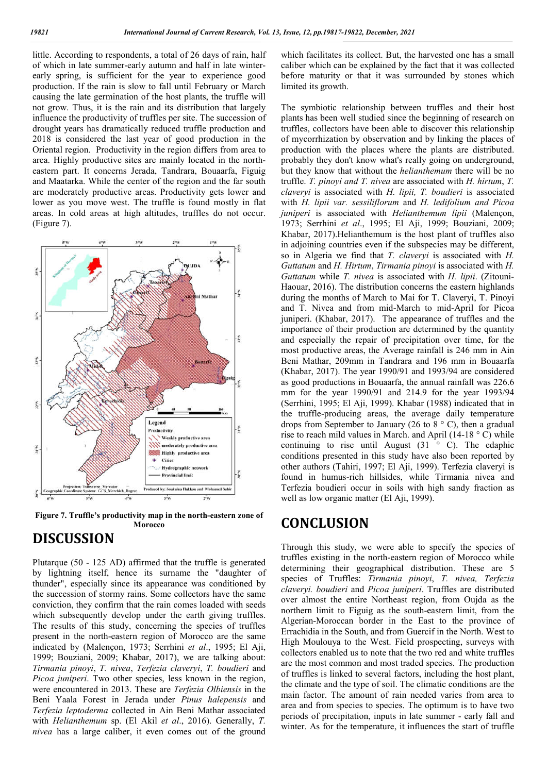little. According to respondents, a total of 26 days of rain, half of which in late summer-early autumn and half in late winterearly spring, is sufficient for the year to experience good production. If the rain is slow to fall until February or March causing the late germination of the host plants, the truffle will not grow. Thus, it is the rain and its distribution that largely influence the productivity of truffles per site. The succession of drought years has dramatically reduced truffle production and 2018 is considered the last year of good production in the Oriental region. Productivity in the region differs from area to area. Highly productive sites are mainly located in the northeastern part. It concerns Jerada, Tandrara, Bouaarfa, Figuig and Maatarka. While the center of the region and the far south are moderately productive areas. Productivity gets lower and lower as you move west. The truffle is found mostly in flat areas. In cold areas at high altitudes, truffles do not occur. (Figure 7).





### **DISCUSSION**

Plutarque (50 - 125 AD) affirmed that the truffle is generated by lightning itself, hence its surname the "daughter of thunder", especially since its appearance was conditioned by the succession of stormy rains. Some collectors have the same conviction, they confirm that the rain comes loaded with seeds which subsequently develop under the earth giving truffles. The results of this study, concerning the species of truffles present in the north-eastern region of Morocco are the same indicated by (Malençon, 1973; Serrhini *et al*., 1995; El Aji, 1999; Bouziani, 2009; Khabar, 2017), we are talking about: *Tirmania pinoyi*, *T. nivea*, *Terfezia claveryi*, *T. boudieri* and *Picoa juniperi*. Two other species, less known in the region, were encountered in 2013. These are *Terfezia Olbiensis* in the Beni Yaala Forest in Jerada under *Pinus halepensis* and *Terfezia leptoderma* collected in Ain Beni Mathar associated with *Helianthemum* sp. (El Akil *et al*., 2016). Generally, *T. nivea* has a large caliber, it even comes out of the ground

which facilitates its collect. But, the harvested one has a small caliber which can be explained by the fact that it was collected before maturity or that it was surrounded by stones which limited its growth.

The symbiotic relationship between truffles and their host plants has been well studied since the beginning of research on truffles, collectors have been able to discover this relationship of mycorrhization by observation and by linking the places of production with the places where the plants are distributed. probably they don't know what's really going on underground, but they know that without the *helianthemum* there will be no truffle. *T. pinoyi and T. nivea* are associated with *H. hirtum*, *T. claveryi* is associated with *H. lipii, T. boudieri* is associated with *H. lipii var. sessiliflorum* and *H. ledifolium and Picoa juniperi* is associated with *Helianthemum lipii* (Malençon, 1973; Serrhini *et al*., 1995; El Aji, 1999; Bouziani, 2009; Khabar, 2017).Helianthemum is the host plant of truffles also in adjoining countries even if the subspecies may be different, so in Algeria we find that *T. claveryi* is associated with *H. Guttatum* and *H. Hirtum*, *Tirmania pinoyi* is associated with *H. Guttatum* while *T. nivea* is associated with *H. lipii*. (Zitouni-Haouar, 2016). The distribution concerns the eastern highlands during the months of March to Mai for T. Claveryi, T. Pinoyi and T. Nivea and from mid-March to mid-April for Picoa juniperi. (Khabar, 2017). The appearance of truffles and the importance of their production are determined by the quantity and especially the repair of precipitation over time, for the most productive areas, the Average rainfall is 246 mm in Ain Beni Mathar, 209mm in Tandrara and 196 mm in Bouaarfa (Khabar, 2017). The year 1990/91 and 1993/94 are considered as good productions in Bouaarfa, the annual rainfall was 226.6 mm for the year 1990/91 and 214.9 for the year 1993/94 (Serrhini, 1995; El Aji, 1999). Khabar (1988) indicated that in the truffle-producing areas, the average daily temperature drops from September to January (26 to 8  $\degree$  C), then a gradual rise to reach mild values in March. and April (14-18 ° C) while continuing to rise until August  $(31 \circ C)$ . The edaphic conditions presented in this study have also been reported by other authors (Tahiri, 1997; El Aji, 1999). Terfezia claveryi is found in humus-rich hillsides, while Tirmania nivea and Terfezia boudieri occur in soils with high sandy fraction as well as low organic matter (El Aji, 1999).

### **CONCLUSION**

Through this study, we were able to specify the species of truffles existing in the north-eastern region of Morocco while determining their geographical distribution. These are 5 species of Truffles: *Tirmania pinoyi*, *T. nivea, Terfezia claveryi. boudieri* and *Picoa juniperi*. Truffles are distributed over almost the entire Northeast region, from Oujda as the northern limit to Figuig as the south-eastern limit, from the Algerian-Moroccan border in the East to the province of Errachidia in the South, and from Guercif in the North. West to High Moulouya to the West. Field prospecting, surveys with collectors enabled us to note that the two red and white truffles are the most common and most traded species. The production of truffles is linked to several factors, including the host plant, the climate and the type of soil. The climatic conditions are the main factor. The amount of rain needed varies from area to area and from species to species. The optimum is to have two periods of precipitation, inputs in late summer - early fall and winter. As for the temperature, it influences the start of truffle